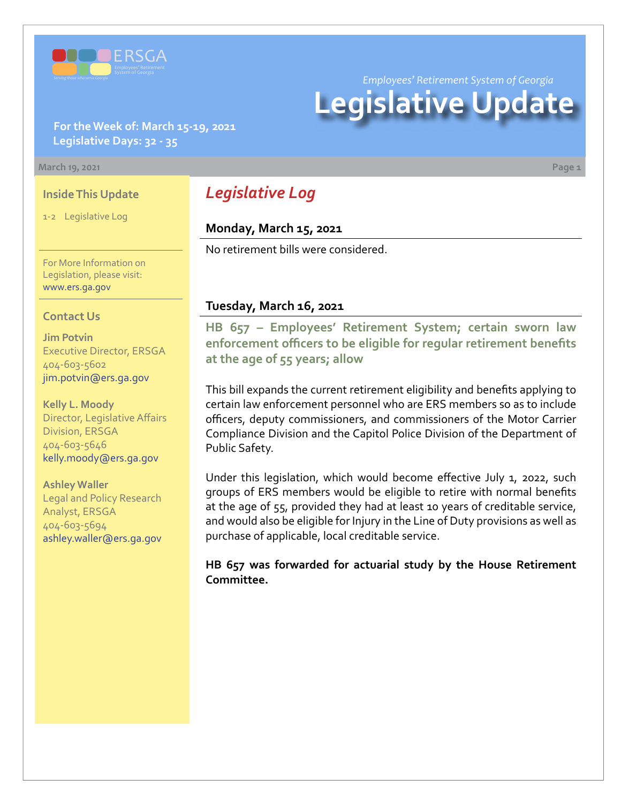

**For the Week of: March 15-19, 2021 Legislative Days: 32 - 35**

#### **March 19, 2021 Page 1**

# **Inside This Update**

1-2 Legislative Log

For More Information on Legislation, please visit: [www.ers.ga.gov](http://www.ers.ga.gov/default.aspx)

## **Contact Us**

**Jim Potvin** Executive Director, ERSGA 404-603-5602 jim.potvin@ers.ga.gov

**Kelly L. Moody** Director, Legislative Affairs Division, ERSGA 404-603-5646 kelly.moody@ers.ga.gov

## **Ashley Waller**

Legal and Policy Research Analyst, ERSGA 404-603-5694 ashley.waller@ers.ga.gov

# *Legislative Log*

# **Monday, March 15, 2021**

No retirement bills were considered.

# **Tuesday, March 16, 2021**

**HB 657 – Employees' Retirement System; certain sworn law [enforcement officers to be eligible for regular retirement benefits](https://www.legis.ga.gov/legislation/60125)  at the age of 55 years; allow**

This bill expands the current retirement eligibility and benefits applying to certain law enforcement personnel who are ERS members so as to include officers, deputy commissioners, and commissioners of the Motor Carrier Compliance Division and the Capitol Police Division of the Department of Public Safety.

Under this legislation, which would become effective July 1, 2022, such groups of ERS members would be eligible to retire with normal benefits at the age of 55, provided they had at least 10 years of creditable service, and would also be eligible for Injury in the Line of Duty provisions as well as purchase of applicable, local creditable service.

**HB 657 was forwarded for actuarial study by the House Retirement Committee.**

#### *Employees' Retirement System of Georgia*

# **Legislative Update**